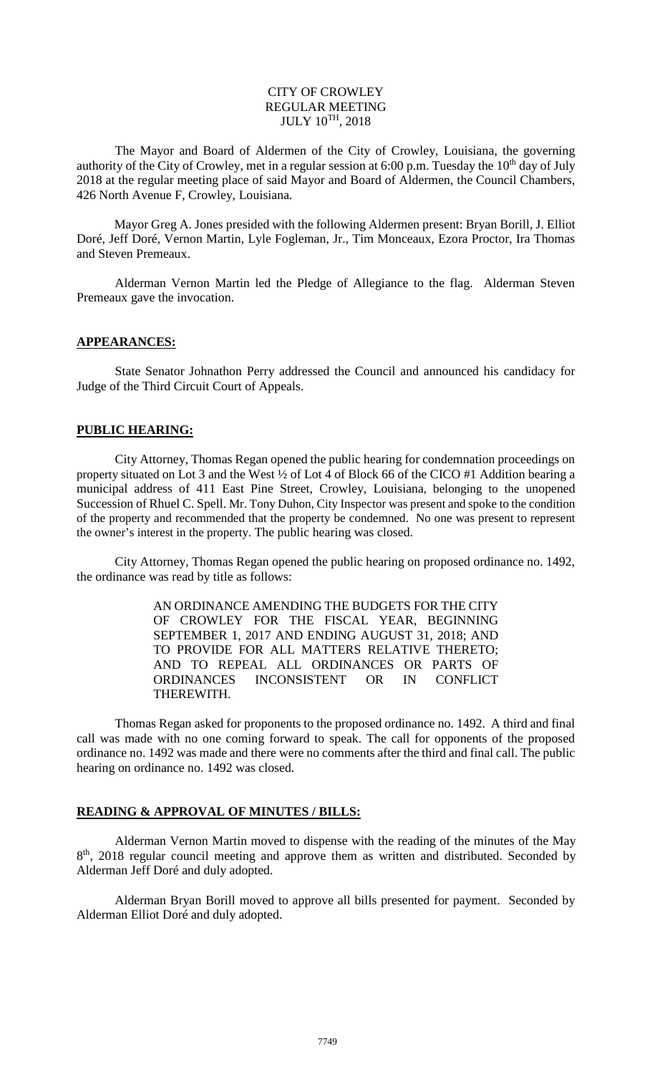# CITY OF CROWLEY REGULAR MEETING  $JULY$   $10^{TH}$ ,  $2018$

The Mayor and Board of Aldermen of the City of Crowley, Louisiana, the governing authority of the City of Crowley, met in a regular session at 6:00 p.m. Tuesday the  $10<sup>th</sup>$  day of July 2018 at the regular meeting place of said Mayor and Board of Aldermen, the Council Chambers, 426 North Avenue F, Crowley, Louisiana.

Mayor Greg A. Jones presided with the following Aldermen present: Bryan Borill, J. Elliot Doré, Jeff Doré, Vernon Martin, Lyle Fogleman, Jr., Tim Monceaux, Ezora Proctor, Ira Thomas and Steven Premeaux.

Alderman Vernon Martin led the Pledge of Allegiance to the flag. Alderman Steven Premeaux gave the invocation.

#### **APPEARANCES:**

State Senator Johnathon Perry addressed the Council and announced his candidacy for Judge of the Third Circuit Court of Appeals.

#### **PUBLIC HEARING:**

City Attorney, Thomas Regan opened the public hearing for condemnation proceedings on property situated on Lot 3 and the West ½ of Lot 4 of Block 66 of the CICO #1 Addition bearing a municipal address of 411 East Pine Street, Crowley, Louisiana, belonging to the unopened Succession of Rhuel C. Spell. Mr. Tony Duhon, City Inspector was present and spoke to the condition of the property and recommended that the property be condemned. No one was present to represent the owner's interest in the property. The public hearing was closed.

City Attorney, Thomas Regan opened the public hearing on proposed ordinance no. 1492, the ordinance was read by title as follows:

> AN ORDINANCE AMENDING THE BUDGETS FOR THE CITY OF CROWLEY FOR THE FISCAL YEAR, BEGINNING SEPTEMBER 1, 2017 AND ENDING AUGUST 31, 2018; AND TO PROVIDE FOR ALL MATTERS RELATIVE THERETO; AND TO REPEAL ALL ORDINANCES OR PARTS OF ORDINANCES INCONSISTENT OR IN CONFLICT THEREWITH.

Thomas Regan asked for proponents to the proposed ordinance no. 1492. A third and final call was made with no one coming forward to speak. The call for opponents of the proposed ordinance no. 1492 was made and there were no comments after the third and final call. The public hearing on ordinance no. 1492 was closed.

# **READING & APPROVAL OF MINUTES / BILLS:**

Alderman Vernon Martin moved to dispense with the reading of the minutes of the May 8<sup>th</sup>, 2018 regular council meeting and approve them as written and distributed. Seconded by Alderman Jeff Doré and duly adopted.

Alderman Bryan Borill moved to approve all bills presented for payment. Seconded by Alderman Elliot Doré and duly adopted.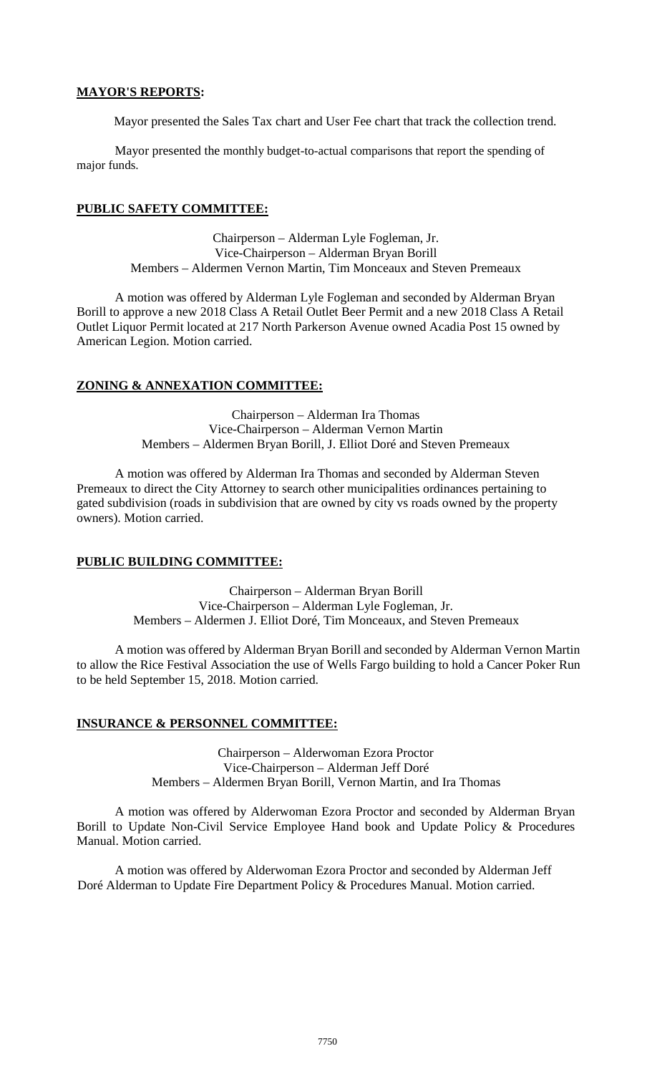# **MAYOR'S REPORTS:**

Mayor presented the Sales Tax chart and User Fee chart that track the collection trend.

Mayor presented the monthly budget-to-actual comparisons that report the spending of major funds.

# **PUBLIC SAFETY COMMITTEE:**

Chairperson – Alderman Lyle Fogleman, Jr. Vice-Chairperson – Alderman Bryan Borill Members – Aldermen Vernon Martin, Tim Monceaux and Steven Premeaux

A motion was offered by Alderman Lyle Fogleman and seconded by Alderman Bryan Borill to approve a new 2018 Class A Retail Outlet Beer Permit and a new 2018 Class A Retail Outlet Liquor Permit located at 217 North Parkerson Avenue owned Acadia Post 15 owned by American Legion. Motion carried.

# **ZONING & ANNEXATION COMMITTEE:**

Chairperson – Alderman Ira Thomas Vice-Chairperson – Alderman Vernon Martin Members – Aldermen Bryan Borill, J. Elliot Doré and Steven Premeaux

A motion was offered by Alderman Ira Thomas and seconded by Alderman Steven Premeaux to direct the City Attorney to search other municipalities ordinances pertaining to gated subdivision (roads in subdivision that are owned by city vs roads owned by the property owners). Motion carried.

# **PUBLIC BUILDING COMMITTEE:**

Chairperson – Alderman Bryan Borill Vice-Chairperson – Alderman Lyle Fogleman, Jr. Members – Aldermen J. Elliot Doré, Tim Monceaux, and Steven Premeaux

A motion was offered by Alderman Bryan Borill and seconded by Alderman Vernon Martin to allow the Rice Festival Association the use of Wells Fargo building to hold a Cancer Poker Run to be held September 15, 2018. Motion carried.

# **INSURANCE & PERSONNEL COMMITTEE:**

Chairperson – Alderwoman Ezora Proctor Vice-Chairperson – Alderman Jeff Doré Members – Aldermen Bryan Borill, Vernon Martin, and Ira Thomas

A motion was offered by Alderwoman Ezora Proctor and seconded by Alderman Bryan Borill to Update Non-Civil Service Employee Hand book and Update Policy & Procedures Manual. Motion carried.

A motion was offered by Alderwoman Ezora Proctor and seconded by Alderman Jeff Doré Alderman to Update Fire Department Policy & Procedures Manual. Motion carried.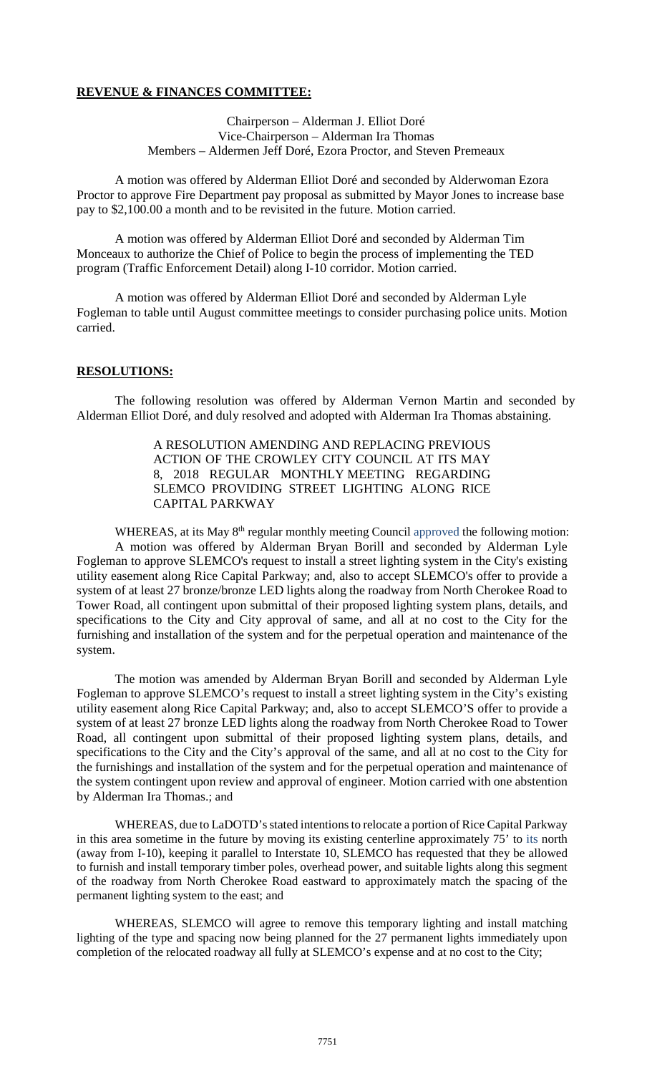# **REVENUE & FINANCES COMMITTEE:**

Chairperson – Alderman J. Elliot Doré Vice-Chairperson – Alderman Ira Thomas Members – Aldermen Jeff Doré, Ezora Proctor, and Steven Premeaux

A motion was offered by Alderman Elliot Doré and seconded by Alderwoman Ezora Proctor to approve Fire Department pay proposal as submitted by Mayor Jones to increase base pay to \$2,100.00 a month and to be revisited in the future. Motion carried.

A motion was offered by Alderman Elliot Doré and seconded by Alderman Tim Monceaux to authorize the Chief of Police to begin the process of implementing the TED program (Traffic Enforcement Detail) along I-10 corridor. Motion carried.

A motion was offered by Alderman Elliot Doré and seconded by Alderman Lyle Fogleman to table until August committee meetings to consider purchasing police units. Motion carried.

#### **RESOLUTIONS:**

The following resolution was offered by Alderman Vernon Martin and seconded by Alderman Elliot Doré, and duly resolved and adopted with Alderman Ira Thomas abstaining.

> A RESOLUTION AMENDING AND REPLACING PREVIOUS ACTION OF THE CROWLEY CITY COUNCIL AT ITS MAY 8, 2018 REGULAR MONTHLY MEETING REGARDING SLEMCO PROVIDING STREET LIGHTING ALONG RICE CAPITAL PARKWAY

WHEREAS, at its May 8<sup>th</sup> regular monthly meeting Council approved the following motion: A motion was offered by Alderman Bryan Borill and seconded by Alderman Lyle Fogleman to approve SLEMCO's request to install a street lighting system in the City's existing utility easement along Rice Capital Parkway; and, also to accept SLEMCO's offer to provide a system of at least 27 bronze/bronze LED lights along the roadway from North Cherokee Road to Tower Road, all contingent upon submittal of their proposed lighting system plans, details, and specifications to the City and City approval of same, and all at no cost to the City for the furnishing and installation of the system and for the perpetual operation and maintenance of the system.

The motion was amended by Alderman Bryan Borill and seconded by Alderman Lyle Fogleman to approve SLEMCO's request to install a street lighting system in the City's existing utility easement along Rice Capital Parkway; and, also to accept SLEMCO'S offer to provide a system of at least 27 bronze LED lights along the roadway from North Cherokee Road to Tower Road, all contingent upon submittal of their proposed lighting system plans, details, and specifications to the City and the City's approval of the same, and all at no cost to the City for the furnishings and installation of the system and for the perpetual operation and maintenance of the system contingent upon review and approval of engineer. Motion carried with one abstention by Alderman Ira Thomas.; and

WHEREAS, due to LaDOTD's stated intentions to relocate a portion of Rice Capital Parkway in this area sometime in the future by moving its existing centerline approximately 75' to its north (away from I-10), keeping it parallel to Interstate 10, SLEMCO has requested that they be allowed to furnish and install temporary timber poles, overhead power, and suitable lights along this segment of the roadway from North Cherokee Road eastward to approximately match the spacing of the permanent lighting system to the east; and

WHEREAS, SLEMCO will agree to remove this temporary lighting and install matching lighting of the type and spacing now being planned for the 27 permanent lights immediately upon completion of the relocated roadway all fully at SLEMCO's expense and at no cost to the City;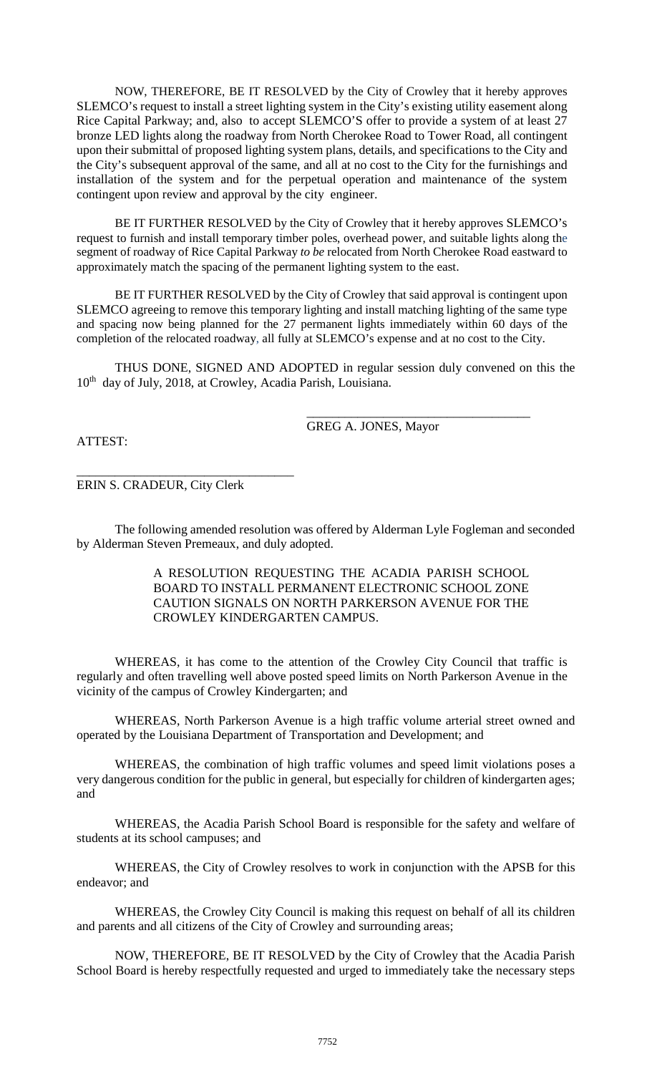NOW, THEREFORE, BE IT RESOLVED by the City of Crowley that it hereby approves SLEMCO's request to install a street lighting system in the City's existing utility easement along Rice Capital Parkway; and, also to accept SLEMCO'S offer to provide a system of at least 27 bronze LED lights along the roadway from North Cherokee Road to Tower Road, all contingent upon their submittal of proposed lighting system plans, details, and specifications to the City and the City's subsequent approval of the same, and all at no cost to the City for the furnishings and installation of the system and for the perpetual operation and maintenance of the system contingent upon review and approval by the city engineer.

BE IT FURTHER RESOLVED by the City of Crowley that it hereby approves SLEMCO's request to furnish and install temporary timber poles, overhead power, and suitable lights along the segment of roadway of Rice Capital Parkway *to be* relocated from North Cherokee Road eastward to approximately match the spacing of the permanent lighting system to the east.

BE IT FURTHER RESOLVED by the City of Crowley that said approval is contingent upon SLEMCO agreeing to remove this temporary lighting and install matching lighting of the same type and spacing now being planned for the 27 permanent lights immediately within 60 days of the completion of the relocated roadway, all fully at SLEMCO's expense and at no cost to the City.

THUS DONE, SIGNED AND ADOPTED in regular session duly convened on this the 10<sup>th</sup> day of July, 2018, at Crowley, Acadia Parish, Louisiana.

GREG A. JONES, Mayor

\_\_\_\_\_\_\_\_\_\_\_\_\_\_\_\_\_\_\_\_\_\_\_\_\_\_\_\_\_\_\_\_\_\_\_

ATTEST:

ERIN S. CRADEUR, City Clerk

\_\_\_\_\_\_\_\_\_\_\_\_\_\_\_\_\_\_\_\_\_\_\_\_\_\_\_\_\_\_\_\_\_\_

The following amended resolution was offered by Alderman Lyle Fogleman and seconded by Alderman Steven Premeaux, and duly adopted.

> A RESOLUTION REQUESTING THE ACADIA PARISH SCHOOL BOARD TO INSTALL PERMANENT ELECTRONIC SCHOOL ZONE CAUTION SIGNALS ON NORTH PARKERSON AVENUE FOR THE CROWLEY KINDERGARTEN CAMPUS.

WHEREAS, it has come to the attention of the Crowley City Council that traffic is regularly and often travelling well above posted speed limits on North Parkerson Avenue in the vicinity of the campus of Crowley Kindergarten; and

WHEREAS, North Parkerson Avenue is a high traffic volume arterial street owned and operated by the Louisiana Department of Transportation and Development; and

WHEREAS, the combination of high traffic volumes and speed limit violations poses a very dangerous condition for the public in general, but especially for children of kindergarten ages; and

WHEREAS, the Acadia Parish School Board is responsible for the safety and welfare of students at its school campuses; and

WHEREAS, the City of Crowley resolves to work in conjunction with the APSB for this endeavor; and

WHEREAS, the Crowley City Council is making this request on behalf of all its children and parents and all citizens of the City of Crowley and surrounding areas;

NOW, THEREFORE, BE IT RESOLVED by the City of Crowley that the Acadia Parish School Board is hereby respectfully requested and urged to immediately take the necessary steps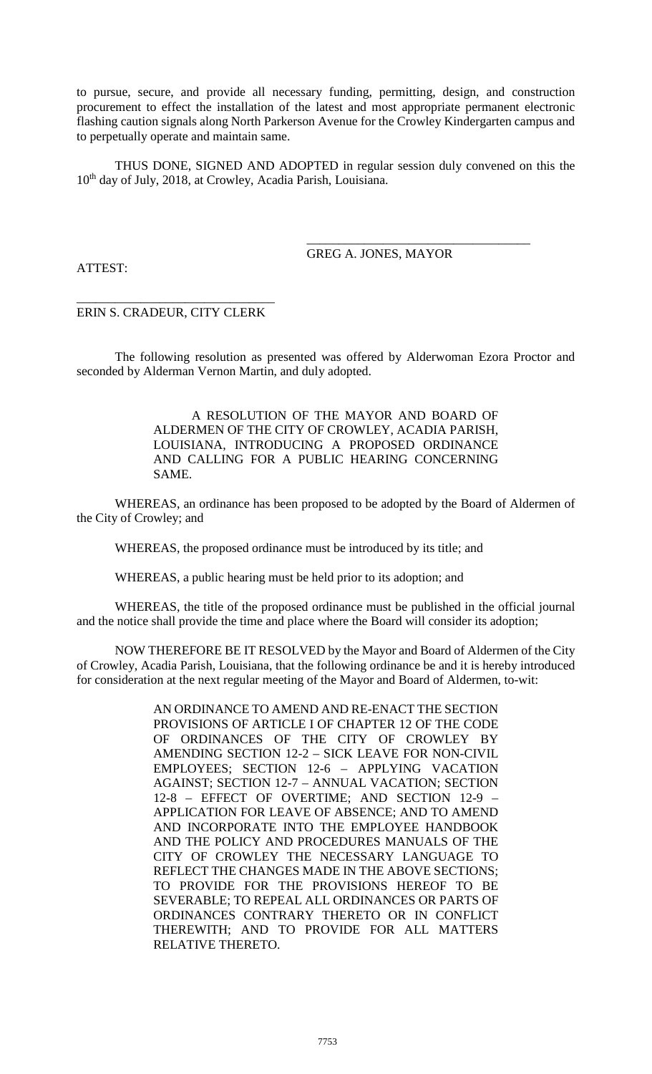to pursue, secure, and provide all necessary funding, permitting, design, and construction procurement to effect the installation of the latest and most appropriate permanent electronic flashing caution signals along North Parkerson Avenue for the Crowley Kindergarten campus and to perpetually operate and maintain same.

THUS DONE, SIGNED AND ADOPTED in regular session duly convened on this the 10<sup>th</sup> day of July, 2018, at Crowley, Acadia Parish, Louisiana.

> \_\_\_\_\_\_\_\_\_\_\_\_\_\_\_\_\_\_\_\_\_\_\_\_\_\_\_\_\_\_\_\_\_\_\_ GREG A. JONES, MAYOR

ATTEST:

\_\_\_\_\_\_\_\_\_\_\_\_\_\_\_\_\_\_\_\_\_\_\_\_\_\_\_\_\_\_\_ ERIN S. CRADEUR, CITY CLERK

The following resolution as presented was offered by Alderwoman Ezora Proctor and seconded by Alderman Vernon Martin, and duly adopted.

> A RESOLUTION OF THE MAYOR AND BOARD OF ALDERMEN OF THE CITY OF CROWLEY, ACADIA PARISH, LOUISIANA, INTRODUCING A PROPOSED ORDINANCE AND CALLING FOR A PUBLIC HEARING CONCERNING SAME.

WHEREAS, an ordinance has been proposed to be adopted by the Board of Aldermen of the City of Crowley; and

WHEREAS, the proposed ordinance must be introduced by its title; and

WHEREAS, a public hearing must be held prior to its adoption; and

WHEREAS, the title of the proposed ordinance must be published in the official journal and the notice shall provide the time and place where the Board will consider its adoption;

NOW THEREFORE BE IT RESOLVED by the Mayor and Board of Aldermen of the City of Crowley, Acadia Parish, Louisiana, that the following ordinance be and it is hereby introduced for consideration at the next regular meeting of the Mayor and Board of Aldermen, to-wit:

> AN ORDINANCE TO AMEND AND RE-ENACT THE SECTION PROVISIONS OF ARTICLE I OF CHAPTER 12 OF THE CODE OF ORDINANCES OF THE CITY OF CROWLEY BY AMENDING SECTION 12-2 – SICK LEAVE FOR NON-CIVIL EMPLOYEES; SECTION 12-6 – APPLYING VACATION AGAINST; SECTION 12-7 – ANNUAL VACATION; SECTION 12-8 – EFFECT OF OVERTIME; AND SECTION 12-9 – APPLICATION FOR LEAVE OF ABSENCE; AND TO AMEND AND INCORPORATE INTO THE EMPLOYEE HANDBOOK AND THE POLICY AND PROCEDURES MANUALS OF THE CITY OF CROWLEY THE NECESSARY LANGUAGE TO REFLECT THE CHANGES MADE IN THE ABOVE SECTIONS; TO PROVIDE FOR THE PROVISIONS HEREOF TO BE SEVERABLE; TO REPEAL ALL ORDINANCES OR PARTS OF ORDINANCES CONTRARY THERETO OR IN CONFLICT THEREWITH; AND TO PROVIDE FOR ALL MATTERS RELATIVE THERETO.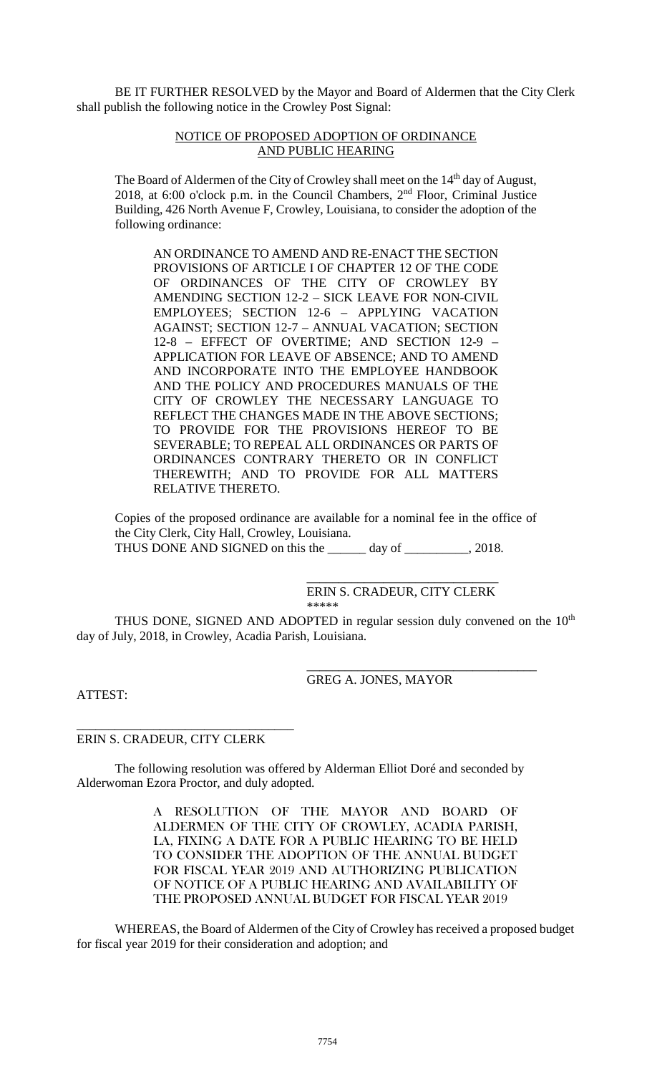BE IT FURTHER RESOLVED by the Mayor and Board of Aldermen that the City Clerk shall publish the following notice in the Crowley Post Signal:

#### NOTICE OF PROPOSED ADOPTION OF ORDINANCE AND PUBLIC HEARING

The Board of Aldermen of the City of Crowley shall meet on the 14<sup>th</sup> day of August, 2018, at 6:00 o'clock p.m. in the Council Chambers,  $2<sup>nd</sup>$  Floor, Criminal Justice Building, 426 North Avenue F, Crowley, Louisiana, to consider the adoption of the following ordinance:

AN ORDINANCE TO AMEND AND RE-ENACT THE SECTION PROVISIONS OF ARTICLE I OF CHAPTER 12 OF THE CODE OF ORDINANCES OF THE CITY OF CROWLEY BY AMENDING SECTION 12-2 – SICK LEAVE FOR NON-CIVIL EMPLOYEES; SECTION 12-6 – APPLYING VACATION AGAINST; SECTION 12-7 – ANNUAL VACATION; SECTION 12-8 – EFFECT OF OVERTIME; AND SECTION 12-9 – APPLICATION FOR LEAVE OF ABSENCE; AND TO AMEND AND INCORPORATE INTO THE EMPLOYEE HANDBOOK AND THE POLICY AND PROCEDURES MANUALS OF THE CITY OF CROWLEY THE NECESSARY LANGUAGE TO REFLECT THE CHANGES MADE IN THE ABOVE SECTIONS; TO PROVIDE FOR THE PROVISIONS HEREOF TO BE SEVERABLE; TO REPEAL ALL ORDINANCES OR PARTS OF ORDINANCES CONTRARY THERETO OR IN CONFLICT THEREWITH; AND TO PROVIDE FOR ALL MATTERS RELATIVE THERETO.

Copies of the proposed ordinance are available for a nominal fee in the office of the City Clerk, City Hall, Crowley, Louisiana. THUS DONE AND SIGNED on this the \_\_\_\_\_\_ day of \_\_\_\_\_\_\_\_\_\_, 2018.

#### \_\_\_\_\_\_\_\_\_\_\_\_\_\_\_\_\_\_\_\_\_\_\_\_\_\_\_\_\_\_ ERIN S. CRADEUR, CITY CLERK \*\*\*\*\*

THUS DONE, SIGNED AND ADOPTED in regular session duly convened on the  $10<sup>th</sup>$ day of July, 2018, in Crowley, Acadia Parish, Louisiana.

> \_\_\_\_\_\_\_\_\_\_\_\_\_\_\_\_\_\_\_\_\_\_\_\_\_\_\_\_\_\_\_\_\_\_\_\_ GREG A. JONES, MAYOR

ATTEST:

# ERIN S. CRADEUR, CITY CLERK

\_\_\_\_\_\_\_\_\_\_\_\_\_\_\_\_\_\_\_\_\_\_\_\_\_\_\_\_\_\_\_\_\_\_

The following resolution was offered by Alderman Elliot Doré and seconded by Alderwoman Ezora Proctor, and duly adopted.

> A RESOLUTION OF THE MAYOR AND BOARD OF ALDERMEN OF THE CITY OF CROWLEY, ACADIA PARISH, LA, FIXING A DATE FOR A PUBLIC HEARING TO BE HELD TO CONSIDER THE ADOPTION OF THE ANNUAL BUDGET FOR FISCAL YEAR 2019 AND AUTHORIZING PUBLICATION OF NOTICE OF A PUBLIC HEARING AND AVAILABILITY OF THE PROPOSED ANNUAL BUDGET FOR FISCAL YEAR 2019

WHEREAS, the Board of Aldermen of the City of Crowley has received a proposed budget for fiscal year 2019 for their consideration and adoption; and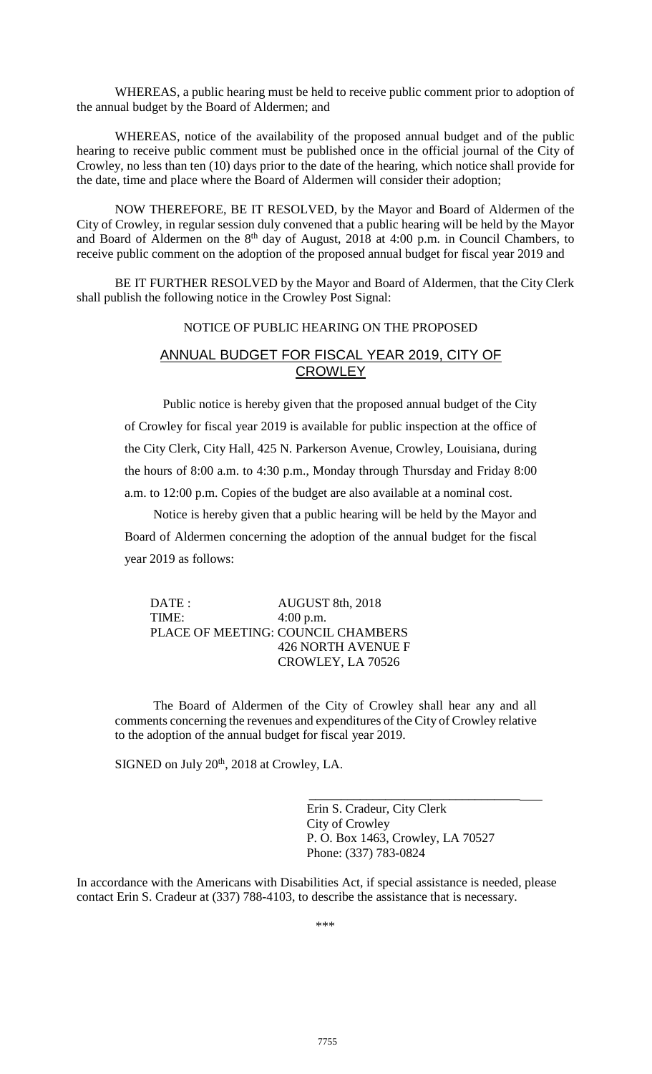WHEREAS, a public hearing must be held to receive public comment prior to adoption of the annual budget by the Board of Aldermen; and

WHEREAS, notice of the availability of the proposed annual budget and of the public hearing to receive public comment must be published once in the official journal of the City of Crowley, no less than ten (10) days prior to the date of the hearing, which notice shall provide for the date, time and place where the Board of Aldermen will consider their adoption;

NOW THEREFORE, BE IT RESOLVED, by the Mayor and Board of Aldermen of the City of Crowley, in regular session duly convened that a public hearing will be held by the Mayor and Board of Aldermen on the  $8<sup>th</sup>$  day of August, 2018 at 4:00 p.m. in Council Chambers, to receive public comment on the adoption of the proposed annual budget for fiscal year 2019 and

BE IT FURTHER RESOLVED by the Mayor and Board of Aldermen, that the City Clerk shall publish the following notice in the Crowley Post Signal:

# NOTICE OF PUBLIC HEARING ON THE PROPOSED

# ANNUAL BUDGET FOR FISCAL YEAR 2019, CITY OF **CROWLEY**

Public notice is hereby given that the proposed annual budget of the City of Crowley for fiscal year 2019 is available for public inspection at the office of the City Clerk, City Hall, 425 N. Parkerson Avenue, Crowley, Louisiana, during the hours of 8:00 a.m. to 4:30 p.m., Monday through Thursday and Friday 8:00 a.m. to 12:00 p.m. Copies of the budget are also available at a nominal cost.

Notice is hereby given that a public hearing will be held by the Mayor and Board of Aldermen concerning the adoption of the annual budget for the fiscal year 2019 as follows:

| $\overline{\text{DATE}}$ : | AUGUST 8th, 2018                   |
|----------------------------|------------------------------------|
| TIME:                      | $4:00$ p.m.                        |
|                            | PLACE OF MEETING: COUNCIL CHAMBERS |
|                            | <b>426 NORTH AVENUE F</b>          |
|                            | CROWLEY, LA 70526                  |

The Board of Aldermen of the City of Crowley shall hear any and all comments concerning the revenues and expenditures of the City of Crowley relative to the adoption of the annual budget for fiscal year 2019.

SIGNED on July 20<sup>th</sup>, 2018 at Crowley, LA.

\_\_\_\_\_\_\_\_\_\_\_\_\_\_\_\_\_\_\_\_\_\_\_\_\_\_\_\_\_\_\_\_\_ Erin S. Cradeur, City Clerk City of Crowley P. O. Box 1463, Crowley, LA 70527 Phone: (337) 783-0824

In accordance with the Americans with Disabilities Act, if special assistance is needed, please contact Erin S. Cradeur at (337) 788-4103, to describe the assistance that is necessary.

\*\*\*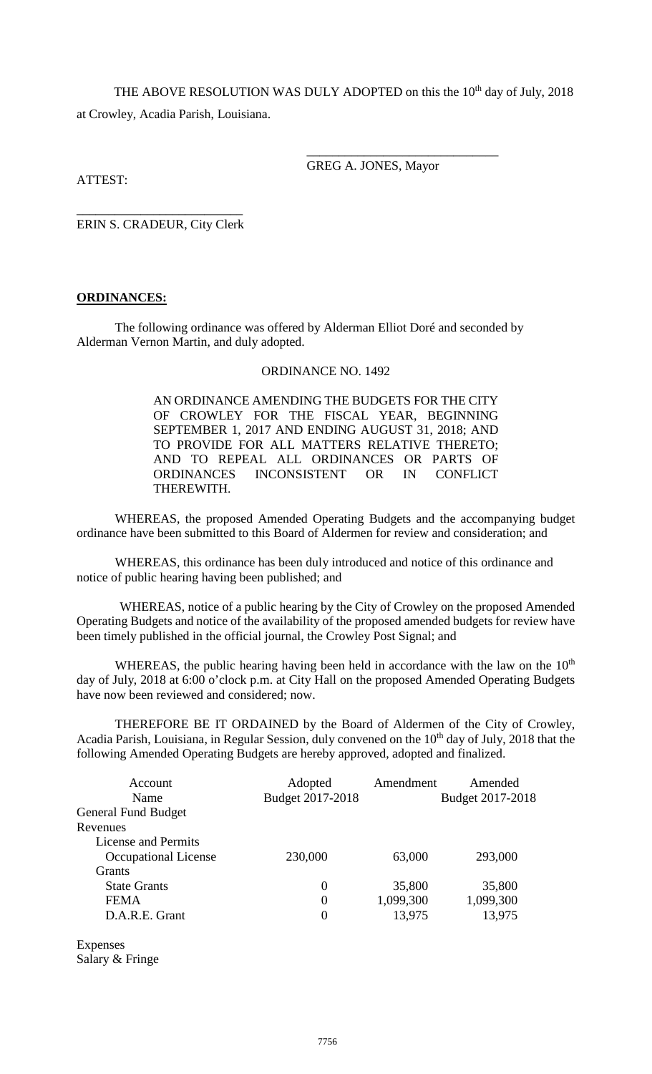THE ABOVE RESOLUTION WAS DULY ADOPTED on this the 10<sup>th</sup> day of July, 2018 at Crowley, Acadia Parish, Louisiana.

> \_\_\_\_\_\_\_\_\_\_\_\_\_\_\_\_\_\_\_\_\_\_\_\_\_\_\_\_\_\_ GREG A. JONES, Mayor

ATTEST:

\_\_\_\_\_\_\_\_\_\_\_\_\_\_\_\_\_\_\_\_\_\_\_\_\_\_ ERIN S. CRADEUR, City Clerk

# **ORDINANCES:**

The following ordinance was offered by Alderman Elliot Doré and seconded by Alderman Vernon Martin, and duly adopted.

# ORDINANCE NO. 1492

AN ORDINANCE AMENDING THE BUDGETS FOR THE CITY OF CROWLEY FOR THE FISCAL YEAR, BEGINNING SEPTEMBER 1, 2017 AND ENDING AUGUST 31, 2018; AND TO PROVIDE FOR ALL MATTERS RELATIVE THERETO; AND TO REPEAL ALL ORDINANCES OR PARTS OF ORDINANCES INCONSISTENT OR IN CONFLICT INCONSISTENT OR IN CONFLICT THEREWITH.

WHEREAS, the proposed Amended Operating Budgets and the accompanying budget ordinance have been submitted to this Board of Aldermen for review and consideration; and

WHEREAS, this ordinance has been duly introduced and notice of this ordinance and notice of public hearing having been published; and

WHEREAS, notice of a public hearing by the City of Crowley on the proposed Amended Operating Budgets and notice of the availability of the proposed amended budgets for review have been timely published in the official journal, the Crowley Post Signal; and

WHEREAS, the public hearing having been held in accordance with the law on the  $10<sup>th</sup>$ day of July, 2018 at 6:00 o'clock p.m. at City Hall on the proposed Amended Operating Budgets have now been reviewed and considered; now.

THEREFORE BE IT ORDAINED by the Board of Aldermen of the City of Crowley, Acadia Parish, Louisiana, in Regular Session, duly convened on the 10<sup>th</sup> day of July, 2018 that the following Amended Operating Budgets are hereby approved, adopted and finalized.

| Account                    | Adopted          | Amendment | Amended          |
|----------------------------|------------------|-----------|------------------|
| Name                       | Budget 2017-2018 |           | Budget 2017-2018 |
| <b>General Fund Budget</b> |                  |           |                  |
| Revenues                   |                  |           |                  |
| License and Permits        |                  |           |                  |
| Occupational License       | 230,000          | 63,000    | 293,000          |
| <b>Grants</b>              |                  |           |                  |
| <b>State Grants</b>        | 0                | 35,800    | 35,800           |
| <b>FEMA</b>                | 0                | 1,099,300 | 1,099,300        |
| D.A.R.E. Grant             | 0                | 13,975    | 13,975           |

Expenses Salary & Fringe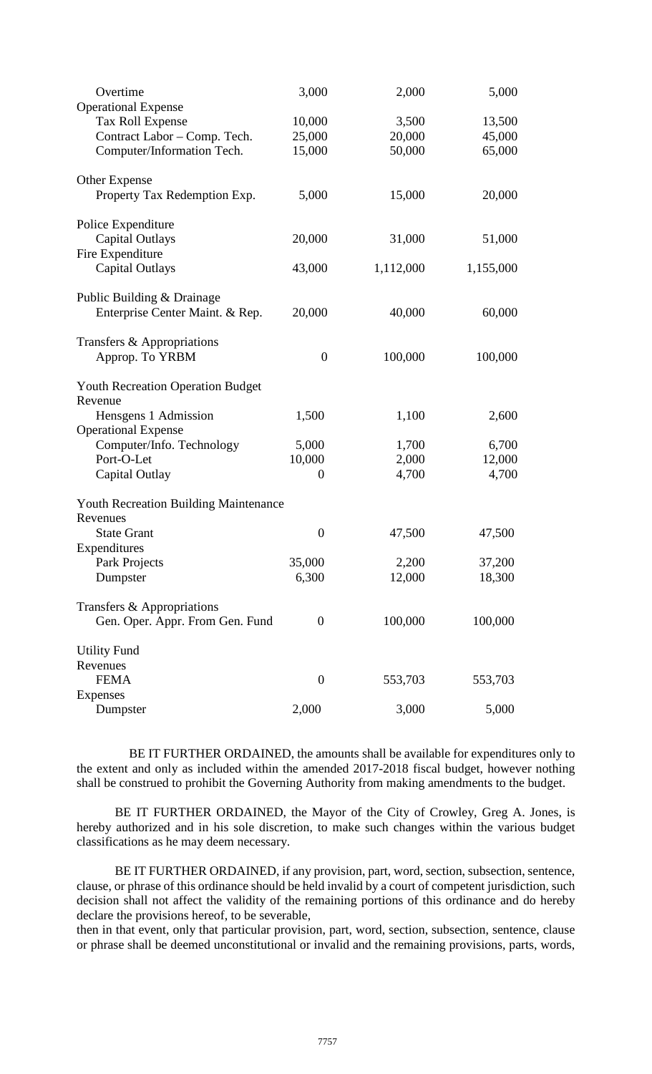| Overtime                                                 | 3,000            | 2,000            | 5,000            |  |  |
|----------------------------------------------------------|------------------|------------------|------------------|--|--|
| <b>Operational Expense</b>                               |                  |                  |                  |  |  |
| <b>Tax Roll Expense</b>                                  | 10,000           | 3,500            | 13,500           |  |  |
| Contract Labor - Comp. Tech.                             | 25,000<br>15,000 | 20,000<br>50,000 | 45,000<br>65,000 |  |  |
| Computer/Information Tech.                               |                  |                  |                  |  |  |
| Other Expense                                            |                  |                  |                  |  |  |
| Property Tax Redemption Exp.                             | 5,000            | 15,000           | 20,000           |  |  |
| Police Expenditure                                       |                  |                  |                  |  |  |
| <b>Capital Outlays</b>                                   | 20,000           | 31,000           | 51,000           |  |  |
| Fire Expenditure                                         |                  |                  |                  |  |  |
| <b>Capital Outlays</b>                                   | 43,000           | 1,112,000        | 1,155,000        |  |  |
| Public Building & Drainage                               |                  |                  |                  |  |  |
| Enterprise Center Maint. & Rep.                          | 20,000           | 40,000           | 60,000           |  |  |
| Transfers & Appropriations                               |                  |                  |                  |  |  |
| Approp. To YRBM                                          | $\overline{0}$   | 100,000          | 100,000          |  |  |
|                                                          |                  |                  |                  |  |  |
| <b>Youth Recreation Operation Budget</b><br>Revenue      |                  |                  |                  |  |  |
| Hensgens 1 Admission                                     | 1,500            | 1,100            | 2,600            |  |  |
| <b>Operational Expense</b>                               |                  |                  |                  |  |  |
| Computer/Info. Technology                                | 5,000            | 1,700            | 6,700            |  |  |
| Port-O-Let                                               | 10,000           | 2,000            | 12,000           |  |  |
| Capital Outlay                                           | $\boldsymbol{0}$ | 4,700            | 4,700            |  |  |
|                                                          |                  |                  |                  |  |  |
| <b>Youth Recreation Building Maintenance</b><br>Revenues |                  |                  |                  |  |  |
| <b>State Grant</b>                                       | $\overline{0}$   | 47,500           | 47,500           |  |  |
| Expenditures                                             |                  |                  |                  |  |  |
| Park Projects                                            | 35,000           | 2,200            | 37,200           |  |  |
| Dumpster                                                 | 6,300            | 12,000           | 18,300           |  |  |
| Transfers & Appropriations                               |                  |                  |                  |  |  |
| Gen. Oper. Appr. From Gen. Fund                          | $\theta$         | 100,000          | 100,000          |  |  |
|                                                          |                  |                  |                  |  |  |
| <b>Utility Fund</b>                                      |                  |                  |                  |  |  |
| Revenues                                                 |                  |                  |                  |  |  |
| <b>FEMA</b>                                              | $\boldsymbol{0}$ | 553,703          | 553,703          |  |  |
| Expenses<br>Dumpster                                     | 2,000            | 3,000            | 5,000            |  |  |
|                                                          |                  |                  |                  |  |  |

BE IT FURTHER ORDAINED, the amounts shall be available for expenditures only to the extent and only as included within the amended 2017-2018 fiscal budget, however nothing shall be construed to prohibit the Governing Authority from making amendments to the budget.

BE IT FURTHER ORDAINED, the Mayor of the City of Crowley, Greg A. Jones, is hereby authorized and in his sole discretion, to make such changes within the various budget classifications as he may deem necessary.

BE IT FURTHER ORDAINED, if any provision, part, word, section, subsection, sentence, clause, or phrase of this ordinance should be held invalid by a court of competent jurisdiction, such decision shall not affect the validity of the remaining portions of this ordinance and do hereby declare the provisions hereof, to be severable,

then in that event, only that particular provision, part, word, section, subsection, sentence, clause or phrase shall be deemed unconstitutional or invalid and the remaining provisions, parts, words,